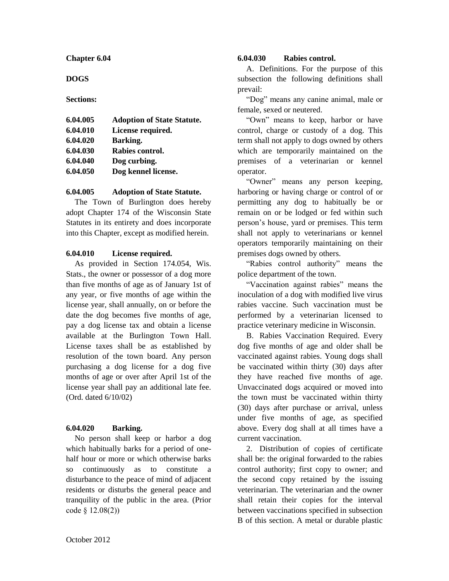**Chapter 6.04**

**DOGS**

**Sections:**

| 6.04.005 | <b>Adoption of State Statute.</b> |
|----------|-----------------------------------|
| 6.04.010 | License required.                 |
| 6.04.020 | Barking.                          |
| 6.04.030 | Rabies control.                   |
| 6.04.040 | Dog curbing.                      |
| 6.04.050 | Dog kennel license.               |

### **6.04.005 Adoption of State Statute.**

The Town of Burlington does hereby adopt Chapter 174 of the Wisconsin State Statutes in its entirety and does incorporate into this Chapter, except as modified herein.

### **6.04.010 License required.**

As provided in Section 174.054, Wis. Stats., the owner or possessor of a dog more than five months of age as of January 1st of any year, or five months of age within the license year, shall annually, on or before the date the dog becomes five months of age, pay a dog license tax and obtain a license available at the Burlington Town Hall. License taxes shall be as established by resolution of the town board. Any person purchasing a dog license for a dog five months of age or over after April 1st of the license year shall pay an additional late fee. (Ord. dated 6/10/02)

## **6.04.020 Barking.**

No person shall keep or harbor a dog which habitually barks for a period of onehalf hour or more or which otherwise barks so continuously as to constitute a disturbance to the peace of mind of adjacent residents or disturbs the general peace and tranquility of the public in the area. (Prior code § 12.08(2))

#### **6.04.030 Rabies control.**

A. Definitions. For the purpose of this subsection the following definitions shall prevail:

"Dog" means any canine animal, male or female, sexed or neutered.

"Own" means to keep, harbor or have control, charge or custody of a dog. This term shall not apply to dogs owned by others which are temporarily maintained on the premises of a veterinarian or kennel operator.

"Owner" means any person keeping, harboring or having charge or control of or permitting any dog to habitually be or remain on or be lodged or fed within such person's house, yard or premises. This term shall not apply to veterinarians or kennel operators temporarily maintaining on their premises dogs owned by others.

"Rabies control authority" means the police department of the town.

"Vaccination against rabies" means the inoculation of a dog with modified live virus rabies vaccine. Such vaccination must be performed by a veterinarian licensed to practice veterinary medicine in Wisconsin.

B. Rabies Vaccination Required. Every dog five months of age and older shall be vaccinated against rabies. Young dogs shall be vaccinated within thirty (30) days after they have reached five months of age. Unvaccinated dogs acquired or moved into the town must be vaccinated within thirty (30) days after purchase or arrival, unless under five months of age, as specified above. Every dog shall at all times have a current vaccination.

2. Distribution of copies of certificate shall be: the original forwarded to the rabies control authority; first copy to owner; and the second copy retained by the issuing veterinarian. The veterinarian and the owner shall retain their copies for the interval between vaccinations specified in subsection B of this section. A metal or durable plastic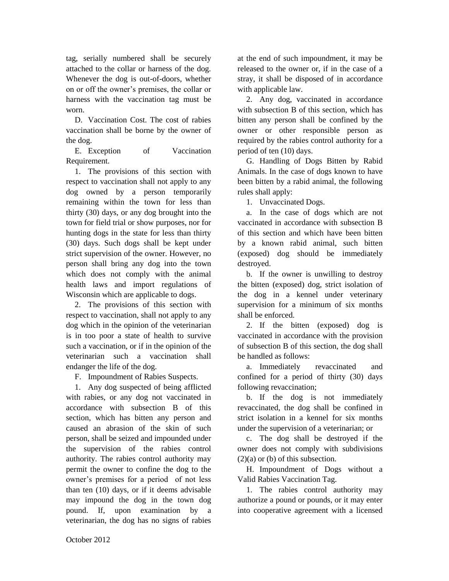tag, serially numbered shall be securely attached to the collar or harness of the dog. Whenever the dog is out-of-doors, whether on or off the owner's premises, the collar or harness with the vaccination tag must be worn.

D. Vaccination Cost. The cost of rabies vaccination shall be borne by the owner of the dog.

E. Exception of Vaccination Requirement.

1. The provisions of this section with respect to vaccination shall not apply to any dog owned by a person temporarily remaining within the town for less than thirty (30) days, or any dog brought into the town for field trial or show purposes, nor for hunting dogs in the state for less than thirty (30) days. Such dogs shall be kept under strict supervision of the owner. However, no person shall bring any dog into the town which does not comply with the animal health laws and import regulations of Wisconsin which are applicable to dogs.

2. The provisions of this section with respect to vaccination, shall not apply to any dog which in the opinion of the veterinarian is in too poor a state of health to survive such a vaccination, or if in the opinion of the veterinarian such a vaccination shall endanger the life of the dog.

F. Impoundment of Rabies Suspects.

1. Any dog suspected of being afflicted with rabies, or any dog not vaccinated in accordance with subsection B of this section, which has bitten any person and caused an abrasion of the skin of such person, shall be seized and impounded under the supervision of the rabies control authority. The rabies control authority may permit the owner to confine the dog to the owner's premises for a period of not less than ten (10) days, or if it deems advisable may impound the dog in the town dog pound. If, upon examination by a veterinarian, the dog has no signs of rabies at the end of such impoundment, it may be released to the owner or, if in the case of a stray, it shall be disposed of in accordance with applicable law.

2. Any dog, vaccinated in accordance with subsection B of this section, which has bitten any person shall be confined by the owner or other responsible person as required by the rabies control authority for a period of ten (10) days.

G. Handling of Dogs Bitten by Rabid Animals. In the case of dogs known to have been bitten by a rabid animal, the following rules shall apply:

1. Unvaccinated Dogs.

a. In the case of dogs which are not vaccinated in accordance with subsection B of this section and which have been bitten by a known rabid animal, such bitten (exposed) dog should be immediately destroyed.

b. If the owner is unwilling to destroy the bitten (exposed) dog, strict isolation of the dog in a kennel under veterinary supervision for a minimum of six months shall be enforced.

2. If the bitten (exposed) dog is vaccinated in accordance with the provision of subsection B of this section, the dog shall be handled as follows:

a. Immediately revaccinated and confined for a period of thirty (30) days following revaccination;

b. If the dog is not immediately revaccinated, the dog shall be confined in strict isolation in a kennel for six months under the supervision of a veterinarian; or

c. The dog shall be destroyed if the owner does not comply with subdivisions  $(2)(a)$  or (b) of this subsection.

H. Impoundment of Dogs without a Valid Rabies Vaccination Tag.

1. The rabies control authority may authorize a pound or pounds, or it may enter into cooperative agreement with a licensed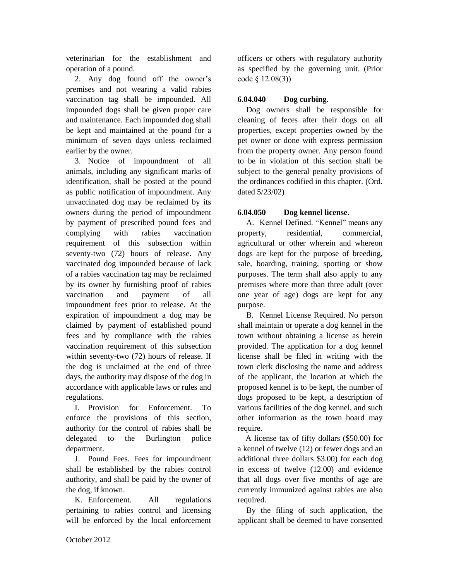veterinarian for the establishment and operation of a pound.

2. Any dog found off the owner's premises and not wearing a valid rabies vaccination tag shall be impounded. All impounded dogs shall be given proper care and maintenance. Each impounded dog shall be kept and maintained at the pound for a minimum of seven days unless reclaimed earlier by the owner.

3. Notice of impoundment of all animals, including any significant marks of identification, shall be posted at the pound as public notification of impoundment. Any unvaccinated dog may be reclaimed by its owners during the period of impoundment by payment of prescribed pound fees and complying with rabies vaccination requirement of this subsection within seventy-two (72) hours of release. Any vaccinated dog impounded because of lack of a rabies vaccination tag may be reclaimed by its owner by furnishing proof of rabies vaccination and payment of all impoundment fees prior to release. At the expiration of impoundment a dog may be claimed by payment of established pound fees and by compliance with the rabies vaccination requirement of this subsection within seventy-two (72) hours of release. If the dog is unclaimed at the end of three days, the authority may dispose of the dog in accordance with applicable laws or rules and regulations.

I. Provision for Enforcement. To enforce the provisions of this section, authority for the control of rabies shall be delegated to the Burlington police department.

J. Pound Fees. Fees for impoundment shall be established by the rabies control authority, and shall be paid by the owner of the dog, if known.

K. Enforcement. All regulations pertaining to rabies control and licensing will be enforced by the local enforcement officers or others with regulatory authority as specified by the governing unit. (Prior code § 12.08(3))

# **6.04.040 Dog curbing.**

Dog owners shall be responsible for cleaning of feces after their dogs on all properties, except properties owned by the pet owner or done with express permission from the property owner. Any person found to be in violation of this section shall be subject to the general penalty provisions of the ordinances codified in this chapter. (Ord. dated 5/23/02)

# **6.04.050 Dog kennel license.**

A. Kennel Defined. "Kennel" means any property, residential, commercial, agricultural or other wherein and whereon dogs are kept for the purpose of breeding, sale, boarding, training, sporting or show purposes. The term shall also apply to any premises where more than three adult (over one year of age) dogs are kept for any purpose.

B. Kennel License Required. No person shall maintain or operate a dog kennel in the town without obtaining a license as herein provided. The application for a dog kennel license shall be filed in writing with the town clerk disclosing the name and address of the applicant, the location at which the proposed kennel is to be kept, the number of dogs proposed to be kept, a description of various facilities of the dog kennel, and such other information as the town board may require.

 A license tax of fifty dollars (\$50.00) for a kennel of twelve (12) or fewer dogs and an additional three dollars \$3.00) for each dog in excess of twelve (12.00) and evidence that all dogs over five months of age are currently immunized against rabies are also required.

 By the filing of such application, the applicant shall be deemed to have consented